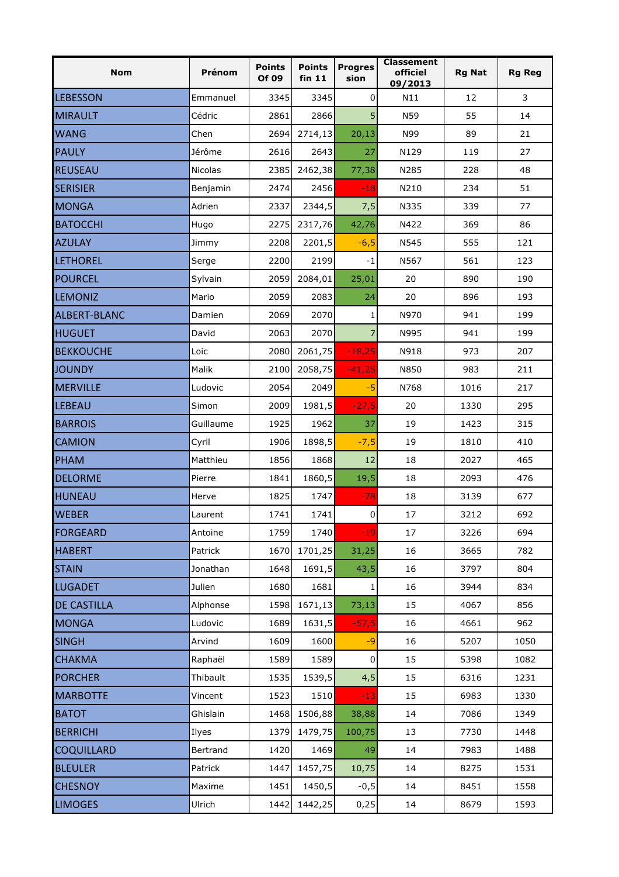| <b>Nom</b>         | Prénom         | <b>Points</b><br>Of 09 | <b>Points</b><br>fin 11 | <b>Progres</b><br>sion | <b>Classement</b><br>officiel<br>09/2013 | <b>Rg Nat</b> | <b>Rg Reg</b> |
|--------------------|----------------|------------------------|-------------------------|------------------------|------------------------------------------|---------------|---------------|
| <b>LEBESSON</b>    | Emmanuel       | 3345                   | 3345                    | 0                      | N11                                      | 12            | 3             |
| <b>MIRAULT</b>     | Cédric         | 2861                   | 2866                    | 5                      | N59                                      | 55            | 14            |
| <b>WANG</b>        | Chen           | 2694                   | 2714,13                 | 20,13                  | N99                                      | 89            | 21            |
| <b>PAULY</b>       | Jérôme         | 2616                   | 2643                    | 27                     | N129                                     | 119           | 27            |
| <b>REUSEAU</b>     | <b>Nicolas</b> | 2385                   | 2462,38                 | 77,38                  | N285                                     | 228           | 48            |
| <b>SERISIER</b>    | Benjamin       | 2474                   | 2456                    | $-18$                  | N210                                     | 234           | 51            |
| <b>MONGA</b>       | Adrien         | 2337                   | 2344,5                  | 7,5                    | N335                                     | 339           | 77            |
| <b>BATOCCHI</b>    | Hugo           | 2275                   | 2317,76                 | 42,76                  | N422                                     | 369           | 86            |
| <b>AZULAY</b>      | Jimmy          | 2208                   | 2201,5                  | $-6,5$                 | N545                                     | 555           | 121           |
| <b>LETHOREL</b>    | Serge          | 2200                   | 2199                    | $-1$                   | N567                                     | 561           | 123           |
| <b>POURCEL</b>     | Sylvain        | 2059                   | 2084,01                 | 25,01                  | 20                                       | 890           | 190           |
| <b>LEMONIZ</b>     | Mario          | 2059                   | 2083                    | 24                     | 20                                       | 896           | 193           |
| ALBERT-BLANC       | Damien         | 2069                   | 2070                    | 1                      | N970                                     | 941           | 199           |
| <b>HUGUET</b>      | David          | 2063                   | 2070                    | $\overline{7}$         | N995                                     | 941           | 199           |
| <b>BEKKOUCHE</b>   | Loic           | 2080                   | 2061,75                 | $-18,25$               | N918                                     | 973           | 207           |
| <b>JOUNDY</b>      | Malik          | 2100                   | 2058,75                 | $-41,25$               | N850                                     | 983           | 211           |
| <b>MERVILLE</b>    | Ludovic        | 2054                   | 2049                    | -5                     | N768                                     | 1016          | 217           |
| <b>LEBEAU</b>      | Simon          | 2009                   | 1981,5                  | $-27,5$                | 20                                       | 1330          | 295           |
| <b>BARROIS</b>     | Guillaume      | 1925                   | 1962                    | 37                     | 19                                       | 1423          | 315           |
| <b>CAMION</b>      | Cyril          | 1906                   | 1898,5                  | $-7,5$                 | 19                                       | 1810          | 410           |
| PHAM               | Matthieu       | 1856                   | 1868                    | 12                     | 18                                       | 2027          | 465           |
| <b>DELORME</b>     | Pierre         | 1841                   | 1860,5                  | 19,5                   | 18                                       | 2093          | 476           |
| <b>HUNEAU</b>      | Herve          | 1825                   | 1747                    | $-78$                  | 18                                       | 3139          | 677           |
| <b>WEBER</b>       | Laurent        | 1741                   | 1741                    | $\pmb{0}$              | 17                                       | 3212          | 692           |
| <b>FORGEARD</b>    | Antoine        | 1759                   | 1740                    | $-19$                  | 17                                       | 3226          | 694           |
| <b>HABERT</b>      | Patrick        | 1670                   | 1701,25                 | 31,25                  | 16                                       | 3665          | 782           |
| <b>STAIN</b>       | Jonathan       | 1648                   | 1691,5                  | 43,5                   | 16                                       | 3797          | 804           |
| <b>LUGADET</b>     | Julien         | 1680                   | 1681                    | 1                      | 16                                       | 3944          | 834           |
| <b>DE CASTILLA</b> | Alphonse       | 1598                   | 1671,13                 | 73,13                  | 15                                       | 4067          | 856           |
| <b>MONGA</b>       | Ludovic        | 1689                   | 1631,5                  | $-57,5$                | 16                                       | 4661          | 962           |
| <b>SINGH</b>       | Arvind         | 1609                   | 1600                    | $-9$                   | 16                                       | 5207          | 1050          |
| <b>CHAKMA</b>      | Raphaël        | 1589                   | 1589                    | $\pmb{0}$              | 15                                       | 5398          | 1082          |
| <b>PORCHER</b>     | Thibault       | 1535                   | 1539,5                  | 4,5                    | 15                                       | 6316          | 1231          |
| <b>MARBOTTE</b>    | Vincent        | 1523                   | 1510                    | $-13$                  | 15                                       | 6983          | 1330          |
| <b>BATOT</b>       | Ghislain       | 1468                   | 1506,88                 | 38,88                  | 14                                       | 7086          | 1349          |
| <b>BERRICHI</b>    | Ilyes          | 1379                   | 1479,75                 | 100,75                 | 13                                       | 7730          | 1448          |
| <b>COQUILLARD</b>  | Bertrand       | 1420                   | 1469                    | 49                     | 14                                       | 7983          | 1488          |
| <b>BLEULER</b>     | Patrick        | 1447                   | 1457,75                 | 10,75                  | 14                                       | 8275          | 1531          |
| <b>CHESNOY</b>     | Maxime         | 1451                   | 1450,5                  | $-0,5$                 | 14                                       | 8451          | 1558          |
| <b>LIMOGES</b>     | Ulrich         | 1442                   | 1442,25                 | 0,25                   | 14                                       | 8679          | 1593          |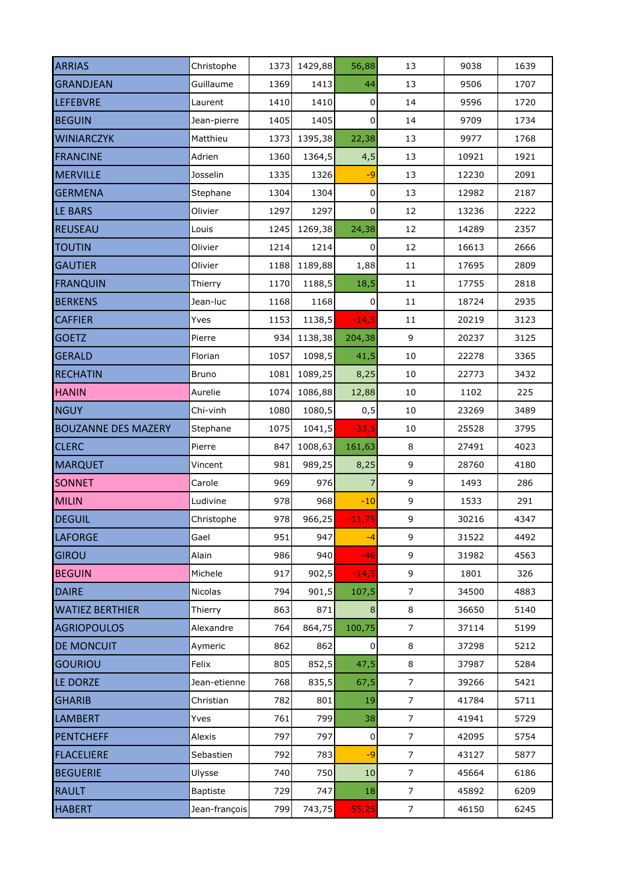| <b>ARRIAS</b>              | Christophe     | 1373 | 1429,88 | 56,88       | 13             | 9038  | 1639 |
|----------------------------|----------------|------|---------|-------------|----------------|-------|------|
| <b>GRANDJEAN</b>           | Guillaume      | 1369 | 1413    | 44          | 13             | 9506  | 1707 |
| <b>LEFEBVRE</b>            | Laurent        | 1410 | 1410    | $\pmb{0}$   | 14             | 9596  | 1720 |
| <b>BEGUIN</b>              | Jean-pierre    | 1405 | 1405    | 0           | 14             | 9709  | 1734 |
| <b>WINIARCZYK</b>          | Matthieu       | 1373 | 1395,38 | 22,38       | 13             | 9977  | 1768 |
| <b>FRANCINE</b>            | Adrien         | 1360 | 1364,5  | 4,5         | 13             | 10921 | 1921 |
| <b>MERVILLE</b>            | Josselin       | 1335 | 1326    | $-9$        | 13             | 12230 | 2091 |
| <b>GERMENA</b>             | Stephane       | 1304 | 1304    | 0           | 13             | 12982 | 2187 |
| LE BARS                    | Olivier        | 1297 | 1297    | 0           | 12             | 13236 | 2222 |
| <b>REUSEAU</b>             | Louis          | 1245 | 1269,38 | 24,38       | 12             | 14289 | 2357 |
| <b>TOUTIN</b>              | Olivier        | 1214 | 1214    | $\pmb{0}$   | 12             | 16613 | 2666 |
| <b>GAUTIER</b>             | Olivier        | 1188 | 1189,88 | 1,88        | $11\,$         | 17695 | 2809 |
| <b>FRANQUIN</b>            | Thierry        | 1170 | 1188,5  | 18,5        | $11\,$         | 17755 | 2818 |
| <b>BERKENS</b>             | Jean-luc       | 1168 | 1168    | 0           | $11\,$         | 18724 | 2935 |
| <b>CAFFIER</b>             | Yves           | 1153 | 1138,5  | $-14,5$     | $11\,$         | 20219 | 3123 |
| <b>GOETZ</b>               | Pierre         | 934  | 1138,38 | 204,38      | 9              | 20237 | 3125 |
| <b>GERALD</b>              | Florian        | 1057 | 1098,5  | 41,5        | $10\,$         | 22278 | 3365 |
| <b>RECHATIN</b>            | <b>Bruno</b>   | 1081 | 1089,25 | 8,25        | $10\,$         | 22773 | 3432 |
| <b>HANIN</b>               | Aurelie        | 1074 | 1086,88 | 12,88       | 10             | 1102  | 225  |
| <b>NGUY</b>                | Chi-vinh       | 1080 | 1080,5  | 0, 5        | $10\,$         | 23269 | 3489 |
| <b>BOUZANNE DES MAZERY</b> | Stephane       | 1075 | 1041,5  | $-33,5$     | $10\,$         | 25528 | 3795 |
| <b>CLERC</b>               | Pierre         | 847  | 1008,63 | 161,63      | $\,8\,$        | 27491 | 4023 |
| <b>MARQUET</b>             | Vincent        | 981  | 989,25  | 8,25        | 9              | 28760 | 4180 |
| <b>SONNET</b>              | Carole         | 969  | 976     | 7           | 9              | 1493  | 286  |
| <b>MILIN</b>               | Ludivine       | 978  | 968     | $-10$       | 9              | 1533  | 291  |
| <b>DEGUIL</b>              | Christophe     | 978  | 966,25  | $-11,75$    | 9              | 30216 | 4347 |
| <b>LAFORGE</b>             | Gael           | 951  | 947     | $-4$        | 9              | 31522 | 4492 |
| <b>GIROU</b>               | Alain          | 986  | 940     | $-46$       | 9              | 31982 | 4563 |
| <b>BEGUIN</b>              | Michele        | 917  | 902,5   | $-14,5$     | 9              | 1801  | 326  |
| <b>DAIRE</b>               | <b>Nicolas</b> | 794  | 901,5   | 107,5       | $\overline{7}$ | 34500 | 4883 |
| <b>WATIEZ BERTHIER</b>     | Thierry        | 863  | 871     | $\bf 8$     | 8              | 36650 | 5140 |
| <b>AGRIOPOULOS</b>         | Alexandre      | 764  | 864,75  | 100,75      | $\overline{7}$ | 37114 | 5199 |
| <b>DE MONCUIT</b>          | Aymeric        | 862  | 862     | $\mathbf 0$ | 8              | 37298 | 5212 |
| <b>GOURIOU</b>             | Felix          | 805  | 852,5   | 47,5        | 8              | 37987 | 5284 |
| LE DORZE                   | Jean-etienne   | 768  | 835,5   | 67,5        | $\overline{7}$ | 39266 | 5421 |
| <b>GHARIB</b>              | Christian      | 782  | 801     | 19          | $\overline{7}$ | 41784 | 5711 |
| <b>LAMBERT</b>             | Yves           | 761  | 799     | 38          | $\overline{7}$ | 41941 | 5729 |
| <b>PENTCHEFF</b>           | Alexis         | 797  | 797     | $\pmb{0}$   | $\overline{7}$ | 42095 | 5754 |
| <b>FLACELIERE</b>          | Sebastien      | 792  | 783     | $-9$        | $\overline{7}$ | 43127 | 5877 |
| <b>BEGUERIE</b>            | Ulysse         | 740  | 750     | 10          | $\overline{7}$ | 45664 | 6186 |
| <b>RAULT</b>               | Baptiste       | 729  | 747     | 18          | $\overline{7}$ | 45892 | 6209 |
| <b>HABERT</b>              | Jean-françois  | 799  | 743,75  | $-55,25$    | $\overline{7}$ | 46150 | 6245 |
|                            |                |      |         |             |                |       |      |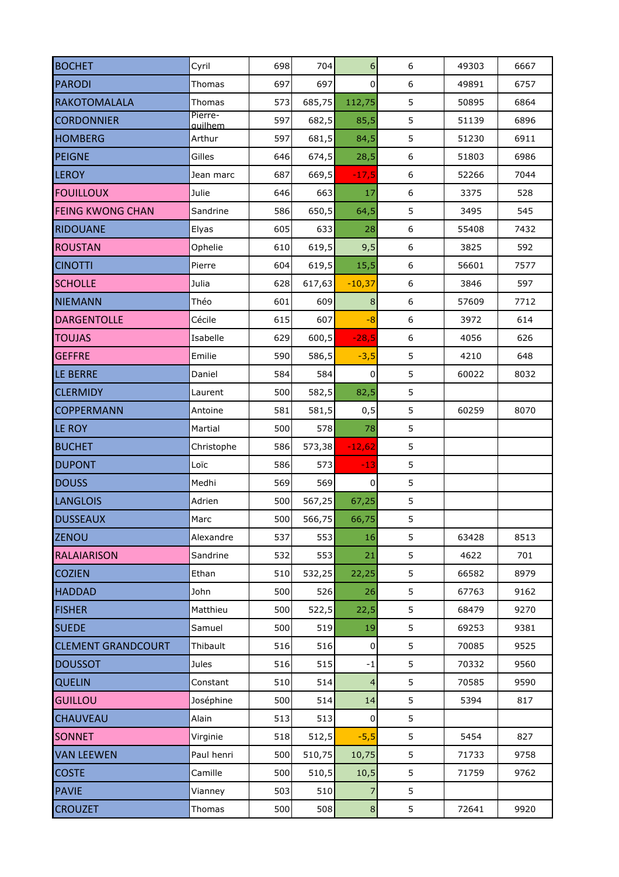| <b>BOCHET</b>             | Cyril                     | 698 | 704    | 6              | $\boldsymbol{6}$ | 49303 | 6667 |
|---------------------------|---------------------------|-----|--------|----------------|------------------|-------|------|
| <b>PARODI</b>             | Thomas                    | 697 | 697    | 0              | $\boldsymbol{6}$ | 49891 | 6757 |
| RAKOTOMALALA              | Thomas                    | 573 | 685,75 | 112,75         | 5                | 50895 | 6864 |
| <b>CORDONNIER</b>         | Pierre-<br><i>auilhem</i> | 597 | 682,5  | 85,5           | 5                | 51139 | 6896 |
| <b>HOMBERG</b>            | Arthur                    | 597 | 681,5  | 84,5           | 5                | 51230 | 6911 |
| <b>PEIGNE</b>             | Gilles                    | 646 | 674,5  | 28,5           | $\boldsymbol{6}$ | 51803 | 6986 |
| <b>LEROY</b>              | Jean marc                 | 687 | 669,5  | $-17,5$        | $\boldsymbol{6}$ | 52266 | 7044 |
| <b>FOUILLOUX</b>          | Julie                     | 646 | 663    | 17             | $\boldsymbol{6}$ | 3375  | 528  |
| <b>FEING KWONG CHAN</b>   | Sandrine                  | 586 | 650,5  | 64,5           | 5                | 3495  | 545  |
| <b>RIDOUANE</b>           | Elyas                     | 605 | 633    | 28             | $\boldsymbol{6}$ | 55408 | 7432 |
| <b>ROUSTAN</b>            | Ophelie                   | 610 | 619,5  | 9,5            | $\boldsymbol{6}$ | 3825  | 592  |
| <b>CINOTTI</b>            | Pierre                    | 604 | 619,5  | 15,5           | $\boldsymbol{6}$ | 56601 | 7577 |
| <b>SCHOLLE</b>            | Julia                     | 628 | 617,63 | $-10,37$       | $\boldsymbol{6}$ | 3846  | 597  |
| <b>NIEMANN</b>            | Théo                      | 601 | 609    | $\bf 8$        | $\boldsymbol{6}$ | 57609 | 7712 |
| <b>DARGENTOLLE</b>        | Cécile                    | 615 | 607    | $-8$           | $\boldsymbol{6}$ | 3972  | 614  |
| <b>TOUJAS</b>             | Isabelle                  | 629 | 600,5  | $-28,5$        | 6                | 4056  | 626  |
| <b>GEFFRE</b>             | Emilie                    | 590 | 586,5  | $-3,5$         | 5                | 4210  | 648  |
| LE BERRE                  | Daniel                    | 584 | 584    | $\pmb{0}$      | 5                | 60022 | 8032 |
| <b>CLERMIDY</b>           | Laurent                   | 500 | 582,5  | 82,5           | 5                |       |      |
| <b>COPPERMANN</b>         | Antoine                   | 581 | 581,5  | 0, 5           | 5                | 60259 | 8070 |
| LE ROY                    | Martial                   | 500 | 578    | 78             | 5                |       |      |
| <b>BUCHET</b>             | Christophe                | 586 | 573,38 | $-12,62$       | 5                |       |      |
| <b>DUPONT</b>             | Loïc                      | 586 | 573    | $-13$          | 5                |       |      |
| <b>DOUSS</b>              | Medhi                     | 569 | 569    | 0              | 5                |       |      |
| <b>LANGLOIS</b>           | Adrien                    | 500 | 567,25 | 67,25          | 5                |       |      |
| <b>DUSSEAUX</b>           | Marc                      | 500 | 566,75 | 66,75          | 5                |       |      |
| <b>ZENOU</b>              | Alexandre                 | 537 | 553    | 16             | 5                | 63428 | 8513 |
| <b>RALAIARISON</b>        | Sandrine                  | 532 | 553    | 21             | 5                | 4622  | 701  |
| <b>COZIEN</b>             | Ethan                     | 510 | 532,25 | 22,25          | 5                | 66582 | 8979 |
| <b>HADDAD</b>             | John                      | 500 | 526    | 26             | 5                | 67763 | 9162 |
| <b>FISHER</b>             | Matthieu                  | 500 | 522,5  | 22,5           | 5                | 68479 | 9270 |
| <b>SUEDE</b>              | Samuel                    | 500 | 519    | 19             | 5                | 69253 | 9381 |
| <b>CLEMENT GRANDCOURT</b> | Thibault                  | 516 | 516    | $\pmb{0}$      | 5                | 70085 | 9525 |
| <b>DOUSSOT</b>            | Jules                     | 516 | 515    | $-1$           | 5                | 70332 | 9560 |
| <b>QUELIN</b>             | Constant                  | 510 | 514    | $\overline{4}$ | 5                | 70585 | 9590 |
| <b>GUILLOU</b>            | Joséphine                 | 500 | 514    | 14             | 5                | 5394  | 817  |
| <b>CHAUVEAU</b>           | Alain                     | 513 | 513    | $\pmb{0}$      | 5                |       |      |
| <b>SONNET</b>             | Virginie                  | 518 | 512,5  | $-5,5$         | 5                | 5454  | 827  |
| <b>VAN LEEWEN</b>         | Paul henri                | 500 | 510,75 | 10,75          | 5                | 71733 | 9758 |
| <b>COSTE</b>              | Camille                   | 500 | 510,5  | 10,5           | 5                | 71759 | 9762 |
| <b>PAVIE</b>              | Vianney                   | 503 | 510    | 7              | 5                |       |      |
| <b>CROUZET</b>            | Thomas                    | 500 | 508    | $\bf 8$        | 5                | 72641 | 9920 |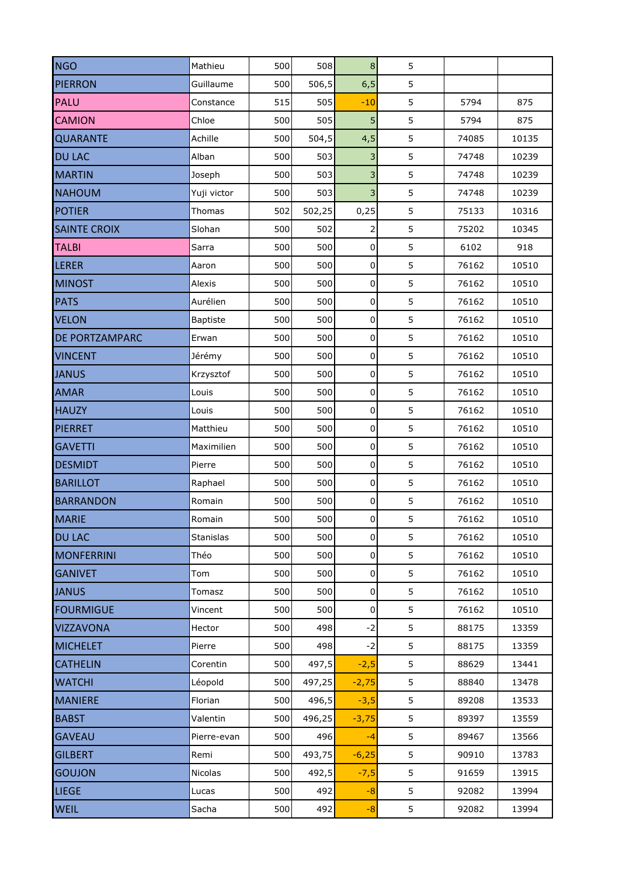| <b>NGO</b>            | Mathieu          | 500 | 508    | $\bf8$              | 5 |       |       |
|-----------------------|------------------|-----|--------|---------------------|---|-------|-------|
| <b>PIERRON</b>        | Guillaume        | 500 | 506,5  | 6, 5                | 5 |       |       |
| PALU                  | Constance        | 515 | 505    | $-10$               | 5 | 5794  | 875   |
| <b>CAMION</b>         | Chloe            | 500 | 505    | 5                   | 5 | 5794  | 875   |
| <b>QUARANTE</b>       | Achille          | 500 | 504,5  | 4,5                 | 5 | 74085 | 10135 |
| <b>DU LAC</b>         | Alban            | 500 | 503    | 3                   | 5 | 74748 | 10239 |
| <b>MARTIN</b>         | Joseph           | 500 | 503    | 3                   | 5 | 74748 | 10239 |
| <b>NAHOUM</b>         | Yuji victor      | 500 | 503    | 3                   | 5 | 74748 | 10239 |
| <b>POTIER</b>         | Thomas           | 502 | 502,25 | 0,25                | 5 | 75133 | 10316 |
| <b>SAINTE CROIX</b>   | Slohan           | 500 | 502    | $\mathbf{Z}$        | 5 | 75202 | 10345 |
| <b>TALBI</b>          | Sarra            | 500 | 500    | 0                   | 5 | 6102  | 918   |
| <b>LERER</b>          | Aaron            | 500 | 500    | $\mathbf 0$         | 5 | 76162 | 10510 |
| <b>MINOST</b>         | Alexis           | 500 | 500    | $\mathbf 0$         | 5 | 76162 | 10510 |
| <b>PATS</b>           | Aurélien         | 500 | 500    | 0                   | 5 | 76162 | 10510 |
| <b>VELON</b>          | <b>Baptiste</b>  | 500 | 500    | 0                   | 5 | 76162 | 10510 |
| <b>DE PORTZAMPARC</b> | Erwan            | 500 | 500    | 0                   | 5 | 76162 | 10510 |
| <b>VINCENT</b>        | Jérémy           | 500 | 500    | $\overline{0}$      | 5 | 76162 | 10510 |
| <b>JANUS</b>          | Krzysztof        | 500 | 500    | $\overline{0}$      | 5 | 76162 | 10510 |
| <b>AMAR</b>           | Louis            | 500 | 500    | $\overline{0}$      | 5 | 76162 | 10510 |
| <b>HAUZY</b>          | Louis            | 500 | 500    | $\mathbf 0$         | 5 | 76162 | 10510 |
| <b>PIERRET</b>        | Matthieu         | 500 | 500    | 0                   | 5 | 76162 | 10510 |
| <b>GAVETTI</b>        | Maximilien       | 500 | 500    | $\pmb{0}$           | 5 | 76162 | 10510 |
| <b>DESMIDT</b>        | Pierre           | 500 | 500    | $\mathbf 0$         | 5 | 76162 | 10510 |
| <b>BARILLOT</b>       | Raphael          | 500 | 500    | $\mathsf{O}\xspace$ | 5 | 76162 | 10510 |
| <b>BARRANDON</b>      | Romain           | 500 | 500    | 0                   | 5 | 76162 | 10510 |
| <b>MARIE</b>          | Romain           | 500 | 500    | $\mathbf 0$         | 5 | 76162 | 10510 |
| <b>DU LAC</b>         | <b>Stanislas</b> | 500 | 500    | $\overline{0}$      | 5 | 76162 | 10510 |
| <b>MONFERRINI</b>     | Théo             | 500 | 500    | $\overline{0}$      | 5 | 76162 | 10510 |
| <b>GANIVET</b>        | Tom              | 500 | 500    | $\overline{0}$      | 5 | 76162 | 10510 |
| <b>JANUS</b>          | Tomasz           | 500 | 500    | $\overline{0}$      | 5 | 76162 | 10510 |
| <b>FOURMIGUE</b>      | Vincent          | 500 | 500    | $\pmb{0}$           | 5 | 76162 | 10510 |
| <b>VIZZAVONA</b>      | Hector           | 500 | 498    | $-2$                | 5 | 88175 | 13359 |
| <b>MICHELET</b>       | Pierre           | 500 | 498    | $-2$                | 5 | 88175 | 13359 |
| <b>CATHELIN</b>       | Corentin         | 500 | 497,5  | $-2,5$              | 5 | 88629 | 13441 |
| <b>WATCHI</b>         | Léopold          | 500 | 497,25 | $-2,75$             | 5 | 88840 | 13478 |
| <b>MANIERE</b>        | Florian          | 500 | 496,5  | $-3,5$              | 5 | 89208 | 13533 |
| <b>BABST</b>          | Valentin         | 500 | 496,25 | $-3,75$             | 5 | 89397 | 13559 |
| <b>GAVEAU</b>         | Pierre-evan      | 500 | 496    | $-4$                | 5 | 89467 | 13566 |
| <b>GILBERT</b>        | Remi             | 500 | 493,75 | $-6,25$             | 5 | 90910 | 13783 |
| <b>GOUJON</b>         | Nicolas          | 500 | 492,5  | $-7,5$              | 5 | 91659 | 13915 |
| <b>LIEGE</b>          | Lucas            | 500 | 492    | $-8$                | 5 | 92082 | 13994 |
| <b>WEIL</b>           | Sacha            | 500 | 492    | $-8$                | 5 | 92082 | 13994 |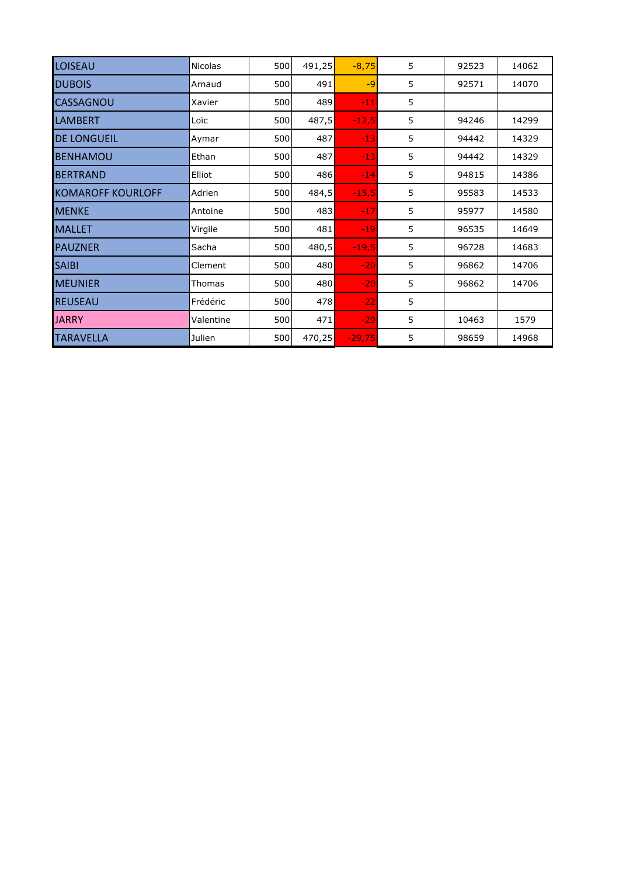| LOISEAU                  | <b>Nicolas</b> | 500 | 491,25 | $-8,75$  | 5 | 92523 | 14062 |
|--------------------------|----------------|-----|--------|----------|---|-------|-------|
| <b>DUBOIS</b>            | Arnaud         | 500 | 491    | $-9$     | 5 | 92571 | 14070 |
| <b>CASSAGNOU</b>         | Xavier         | 500 | 489    | $-11$    | 5 |       |       |
| <b>LAMBERT</b>           | Loïc           | 500 | 487,5  | $-12,5$  | 5 | 94246 | 14299 |
| <b>DE LONGUEIL</b>       | Aymar          | 500 | 487    | $-13$    | 5 | 94442 | 14329 |
| <b>BENHAMOU</b>          | Ethan          | 500 | 487    | $-13$    | 5 | 94442 | 14329 |
| <b>BERTRAND</b>          | Elliot         | 500 | 486    | $-14$    | 5 | 94815 | 14386 |
| <b>KOMAROFF KOURLOFF</b> | Adrien         | 500 | 484,5  | $-15,5$  | 5 | 95583 | 14533 |
| <b>MENKE</b>             | Antoine        | 500 | 483    | $-17$    | 5 | 95977 | 14580 |
| <b>MALLET</b>            | Virgile        | 500 | 481    | $-19$    | 5 | 96535 | 14649 |
| <b>PAUZNER</b>           | Sacha          | 500 | 480,5  | $-19,5$  | 5 | 96728 | 14683 |
| <b>SAIBI</b>             | Clement        | 500 | 480    | $-20$    | 5 | 96862 | 14706 |
| <b>MEUNIER</b>           | Thomas         | 500 | 480    | $-20$    | 5 | 96862 | 14706 |
| <b>REUSEAU</b>           | Frédéric       | 500 | 478    | $-22$    | 5 |       |       |
| <b>JARRY</b>             | Valentine      | 500 | 471    | $-29$    | 5 | 10463 | 1579  |
| <b>TARAVELLA</b>         | Julien         | 500 | 470,25 | $-29,75$ | 5 | 98659 | 14968 |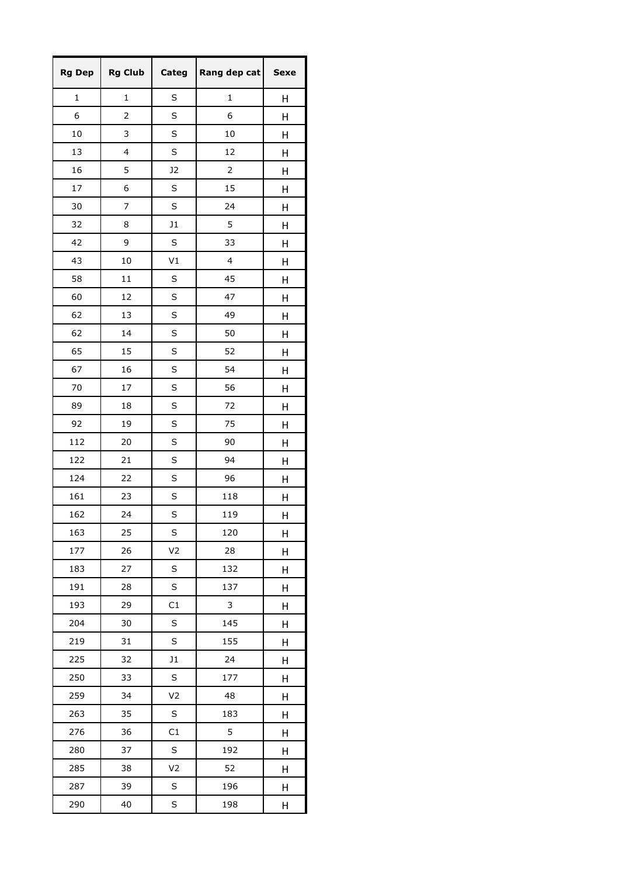| <b>Rg Dep</b> | <b>Rg Club</b> | Categ          | Rang dep cat            | <b>Sexe</b> |
|---------------|----------------|----------------|-------------------------|-------------|
| $\mathbf 1$   | $\mathbf{1}$   | S              | $\mathbf{1}$            | Η           |
| 6             | 2              | S              | 6                       | Η           |
| 10            | 3              | S              | 10                      | Η           |
| 13            | 4              | S              | 12                      | Н           |
| 16            | 5              | J2             | $\overline{2}$          | Н           |
| 17            | 6              | S              | 15                      | Н           |
| 30            | 7              | S              | 24                      | Η           |
| 32            | 8              | J1             | 5                       | Н           |
| 42            | 9              | S              | 33                      | Н           |
| 43            | 10             | V <sub>1</sub> | $\overline{\mathbf{4}}$ | Η           |
| 58            | 11             | S              | 45                      | Η           |
| 60            | 12             | S              | 47                      | Η           |
| 62            | 13             | S              | 49                      | Н           |
| 62            | 14             | S              | 50                      | Н           |
| 65            | 15             | S              | 52                      | Н           |
| 67            | 16             | S              | 54                      | Η           |
| 70            | 17             | S              | 56                      | Η           |
| 89            | 18             | S              | 72                      | Н           |
| 92            | 19             | S              | 75                      | Н           |
| 112           | 20             | S              | 90                      | Η           |
| 122           | 21             | S              | 94                      | Н           |
| 124           | 22             | S              | 96                      | Η           |
| 161           | 23             | S              | 118                     | Η           |
| 162           | 24             | S              | 119                     | Н           |
| 163           | 25             | S              | 120                     | Н           |
| 177           | 26             | V <sub>2</sub> | 28                      | Η           |
| 183           | 27             | S              | 132                     | н           |
| 191           | 28             | S              | 137                     | Н           |
| 193           | 29             | C1             | 3                       | Н           |
| 204           | 30             | S              | 145                     | Н           |
| 219           | 31             | S              | 155                     | Η           |
| 225           | 32             | J1             | 24                      | Н           |
| 250           | 33             | S              | 177                     | н           |
| 259           | 34             | V <sub>2</sub> | 48                      | Н           |
| 263           | 35             | S              | 183                     | Н           |
| 276           | 36             | C1             | 5                       | Н           |
| 280           | 37             | S              | 192                     | н           |
| 285           | 38             | V <sub>2</sub> | 52                      | Н           |
| 287           | 39             | S              | 196                     | Н           |
| 290           | 40             | S              | 198                     | Н           |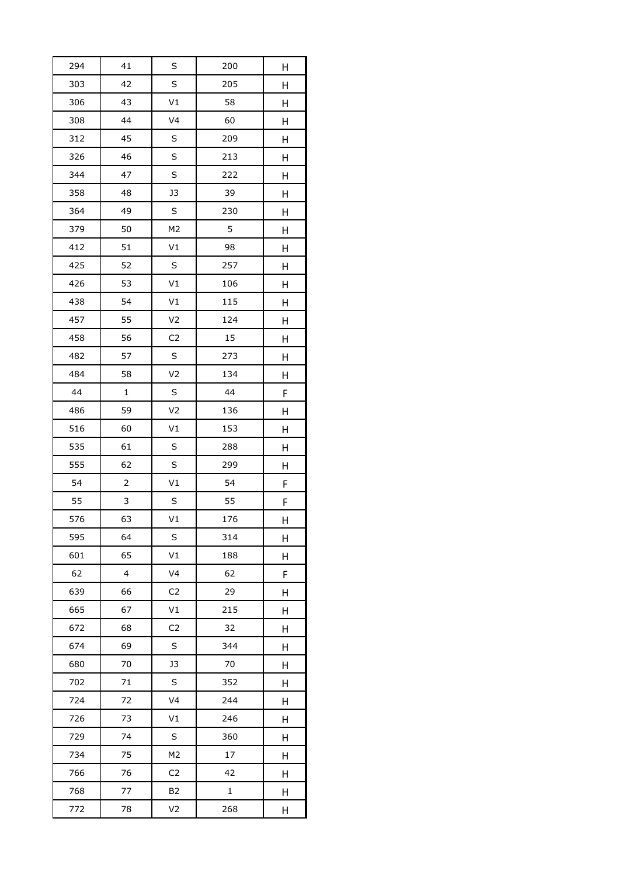| 294 | 41                      | S              | 200 | H |
|-----|-------------------------|----------------|-----|---|
| 303 | 42                      | S              | 205 | Н |
| 306 | 43                      | V1             | 58  | Н |
| 308 | 44                      | V <sub>4</sub> | 60  | Н |
| 312 | 45                      | S              | 209 | Н |
| 326 | 46                      | S              | 213 | Н |
| 344 | 47                      | S              | 222 | Н |
| 358 | 48                      | J3             | 39  | Н |
| 364 | 49                      | S              | 230 | Н |
| 379 | 50                      | M <sub>2</sub> | 5   | Н |
| 412 | 51                      | V1             | 98  | Н |
| 425 | 52                      | S              | 257 | Н |
| 426 | 53                      | V1             | 106 | Н |
| 438 | 54                      | V1             | 115 | Н |
| 457 | 55                      | V <sub>2</sub> | 124 | Η |
| 458 | 56                      | C <sub>2</sub> | 15  | Н |
| 482 | 57                      | S              | 273 | Н |
| 484 | 58                      | V <sub>2</sub> | 134 | Н |
| 44  | $\mathbf 1$             | S              | 44  | F |
| 486 | 59                      | V <sub>2</sub> | 136 | Н |
| 516 | 60                      | V1             | 153 | Н |
| 535 | 61                      | S              | 288 | Н |
| 555 | 62                      | S              | 299 | Н |
| 54  |                         | V1             | 54  | F |
| 55  | 3                       | S              | 55  | F |
| 576 | 63                      | V1             | 176 | Н |
| 595 | 64                      | S              | 314 | Н |
| 601 | 65                      | V1             | 188 | Н |
| 62  | $\overline{\mathbf{4}}$ | V <sub>4</sub> | 62  | F |
| 639 | 66                      | C <sub>2</sub> | 29  | Η |
| 665 | 67                      | V1             | 215 | Η |
| 672 | 68                      | C <sub>2</sub> | 32  | Н |
| 674 | 69                      | S              | 344 | Н |
| 680 | 70                      | J3             | 70  | Н |
| 702 | 71                      | S              | 352 | н |
| 724 | 72                      | V <sub>4</sub> | 244 | Η |
| 726 | 73                      | V1             | 246 | Н |
| 729 | 74                      | S              | 360 | Η |
| 734 | 75                      | M <sub>2</sub> | 17  | Н |
| 766 | 76                      | C <sub>2</sub> | 42  | Н |
| 768 | 77                      | <b>B2</b>      | 1   | Η |
| 772 | 78                      | V <sub>2</sub> | 268 | Н |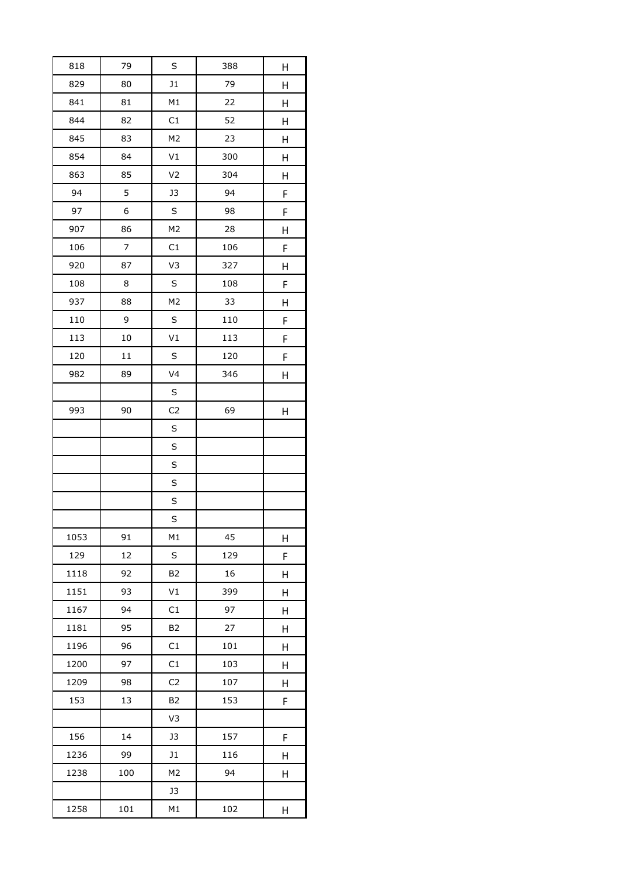| 818  | 79               | S              | 388 | Н |
|------|------------------|----------------|-----|---|
| 829  | 80               | J1             | 79  | Н |
| 841  | 81               | M1             | 22  | Н |
| 844  | 82               | C1             | 52  | Н |
| 845  | 83               | M <sub>2</sub> | 23  | Н |
| 854  | 84               | V1             | 300 | Н |
| 863  | 85               | V <sub>2</sub> | 304 | Н |
| 94   | 5                | J3             | 94  | F |
| 97   | 6                | S              | 98  | F |
| 907  | 86               | M <sub>2</sub> | 28  | Н |
| 106  | $\boldsymbol{7}$ | C1             | 106 | F |
| 920  | 87               | V3             | 327 | Н |
| 108  | 8                | $\sf S$        | 108 | F |
| 937  | 88               | M <sub>2</sub> | 33  | Н |
| 110  | 9                | S              | 110 | F |
| 113  | 10               | V1             | 113 | F |
| 120  | 11               | $\sf S$        | 120 | F |
| 982  | 89               | V <sub>4</sub> | 346 | Н |
|      |                  | S              |     |   |
| 993  | 90               | C <sub>2</sub> | 69  | Н |
|      |                  | $\sf S$        |     |   |
|      |                  | S              |     |   |
|      |                  | S              |     |   |
|      |                  | S              |     |   |
|      |                  | S              |     |   |
|      |                  | S              |     |   |
| 1053 | 91               | M1             | 45  | Н |
| 129  | 12               | S              | 129 | F |
| 1118 | 92               | B <sub>2</sub> | 16  | Н |
| 1151 | 93               | V1             | 399 | Η |
| 1167 | 94               | C1             | 97  | Н |
| 1181 | 95               | <b>B2</b>      | 27  | Н |
| 1196 | 96               | C1             | 101 | Н |
| 1200 | 97               | C1             | 103 | Η |
| 1209 | 98               | C <sub>2</sub> | 107 | Н |
| 153  | 13               | B <sub>2</sub> | 153 | F |
|      |                  | V3             |     |   |
| 156  | 14               | J3             | 157 | F |
| 1236 | 99               | J1             | 116 | Н |
| 1238 | 100              | M <sub>2</sub> | 94  | Н |
|      |                  | J3             |     |   |
| 1258 | 101              | M1             | 102 | Н |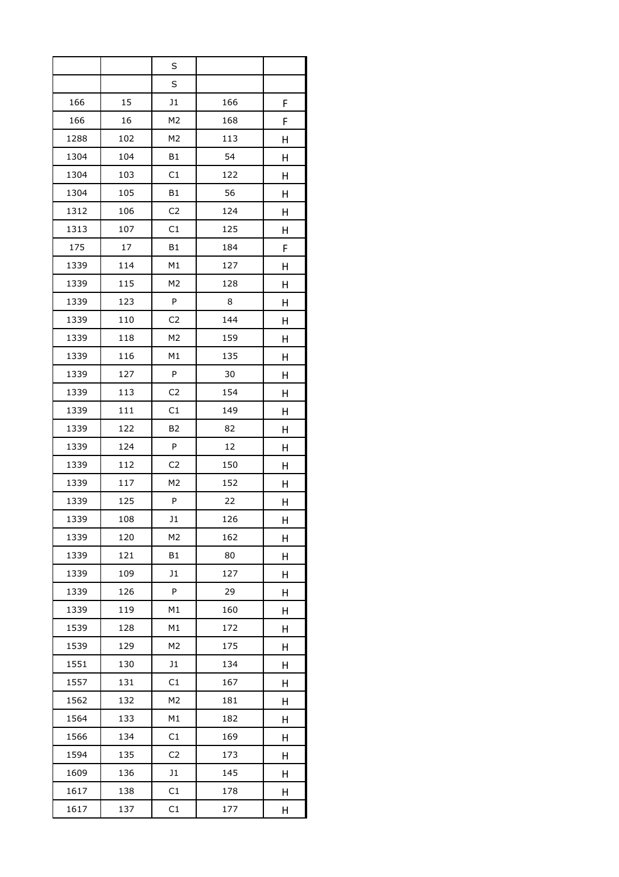|      |     | S              |     |   |
|------|-----|----------------|-----|---|
|      |     | S              |     |   |
| 166  | 15  | J1             | 166 | F |
| 166  | 16  | M <sub>2</sub> | 168 | F |
| 1288 | 102 | M <sub>2</sub> | 113 | Н |
| 1304 | 104 | <b>B1</b>      | 54  | Н |
| 1304 | 103 | C1             | 122 | Η |
| 1304 | 105 | <b>B1</b>      | 56  | Η |
| 1312 | 106 | C <sub>2</sub> | 124 | H |
| 1313 | 107 | C1             | 125 | Н |
| 175  | 17  | <b>B1</b>      | 184 | F |
| 1339 | 114 | M1             | 127 | Η |
| 1339 | 115 | M <sub>2</sub> | 128 | Η |
| 1339 | 123 | P              | 8   | Η |
| 1339 | 110 | C <sub>2</sub> | 144 | Н |
| 1339 | 118 | M <sub>2</sub> | 159 | Н |
| 1339 | 116 | M1             | 135 | Η |
| 1339 | 127 | P              | 30  | Η |
| 1339 | 113 | C <sub>2</sub> | 154 | Η |
| 1339 | 111 | C1             | 149 | Н |
| 1339 | 122 | B <sub>2</sub> | 82  | Η |
| 1339 | 124 | P              | 12  | Η |
| 1339 | 112 | C <sub>2</sub> | 150 | Н |
| 1339 | 117 | M <sub>2</sub> | 152 | Н |
| 1339 | 125 | P              | 22  | Н |
| 1339 | 108 | J1             | 126 | Н |
| 1339 | 120 | M <sub>2</sub> | 162 | Η |
| 1339 | 121 | B1             | 80  | Н |
| 1339 | 109 | J1             | 127 | Н |
| 1339 | 126 | P              | 29  | Η |
| 1339 | 119 | M1             | 160 | Η |
| 1539 | 128 | M1             | 172 | H |
| 1539 | 129 | M <sub>2</sub> | 175 | Н |
| 1551 | 130 | J1             | 134 | н |
| 1557 | 131 | C1             | 167 | Н |
| 1562 | 132 | M <sub>2</sub> | 181 | Н |
| 1564 | 133 | M1             | 182 | н |
| 1566 | 134 | C1             | 169 | Н |
| 1594 | 135 | C <sub>2</sub> | 173 | H |
| 1609 | 136 | J1             | 145 | Η |
| 1617 | 138 | C1             | 178 | Η |
| 1617 | 137 | C1             | 177 | Н |